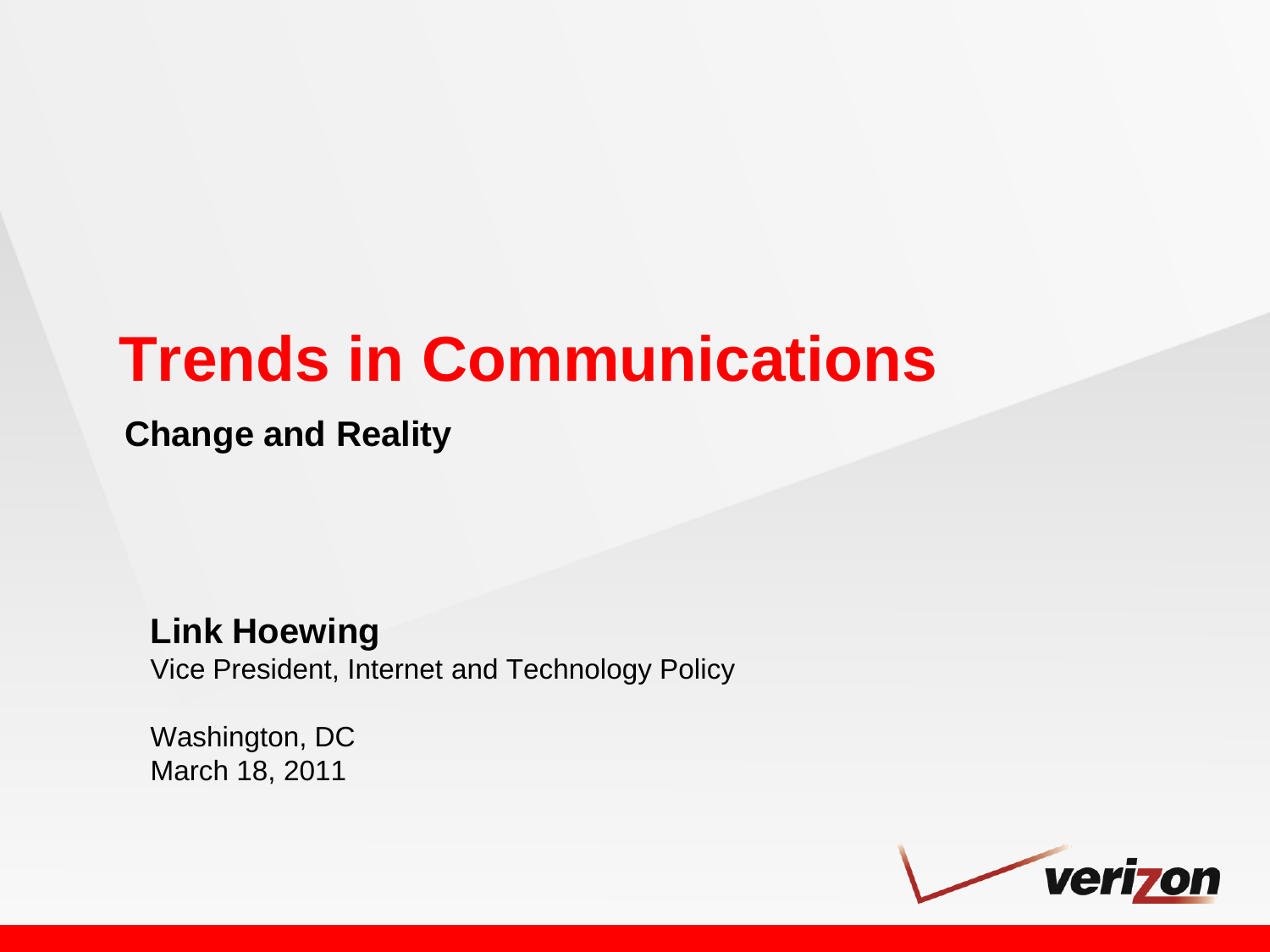### **Trends in Communications**

**Change and Reality** 

#### **Link Hoewing**

Vice President, Internet and Technology Policy

Washington, DC March 18, 2011

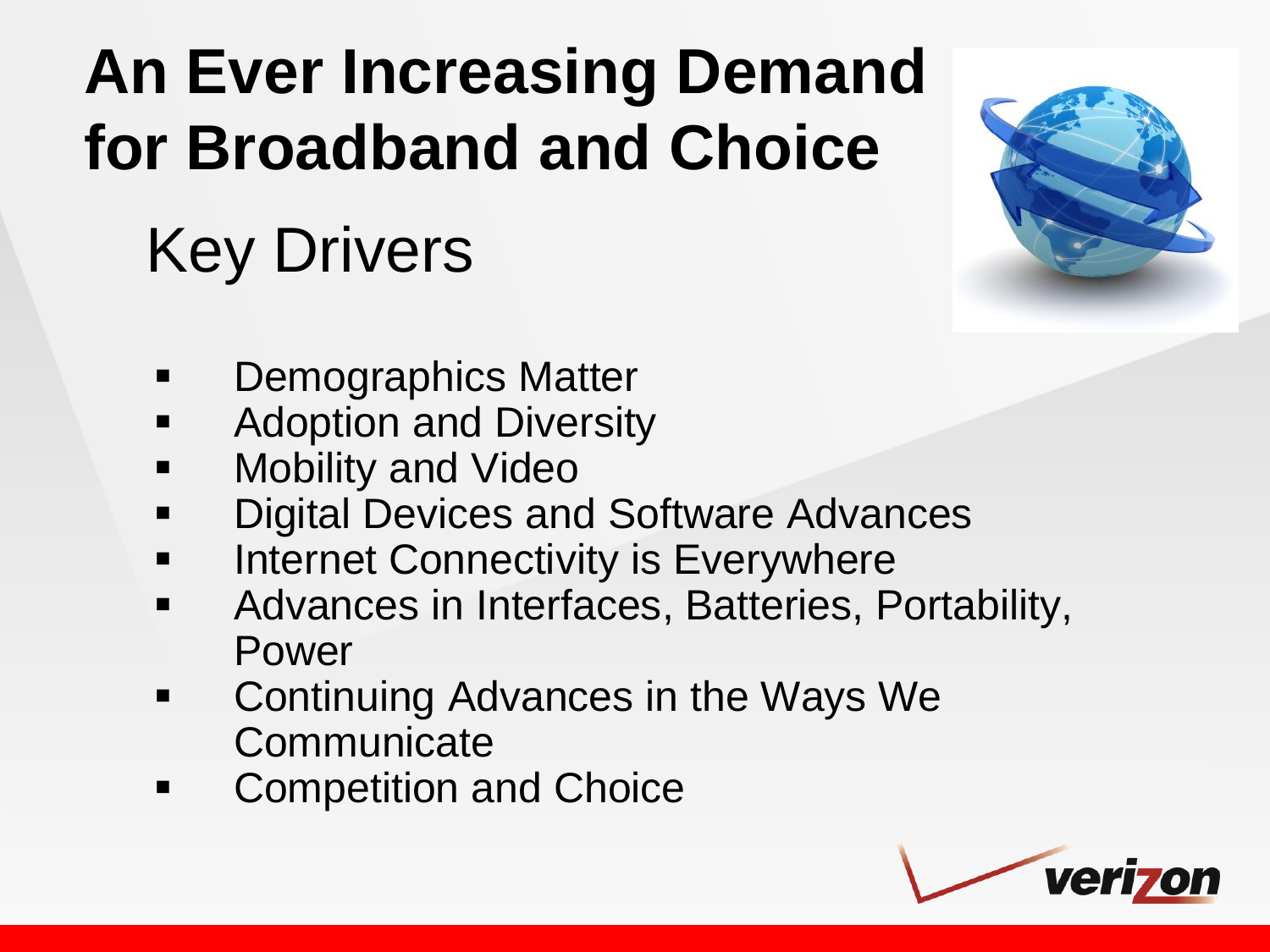## **An Ever Increasing Demand for Broadband and Choice** Key Drivers



- **-** Demographics Matter
- **Adoption and Diversity**
- **-** Mobility and Video
- **-** Digital Devices and Software Advances
- **Internet Connectivity is Everywhere**
- **Advances in Interfaces, Batteries, Portability,** Power
- **Continuing Advances in the Ways We Communicate**
- **EXECOMPETED EXECUTE:** Competition and Choice

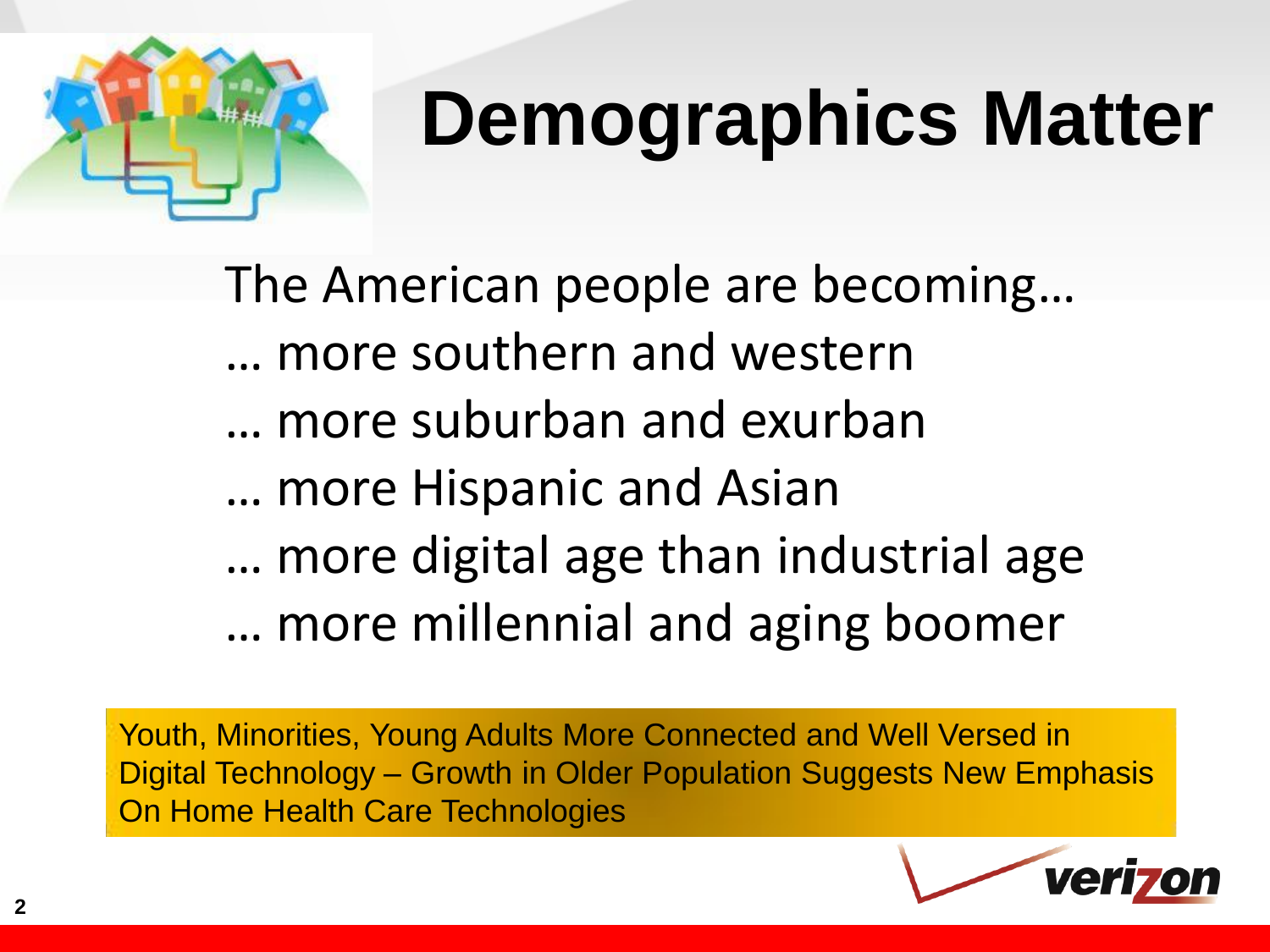

# **Demographics Matter**

The American people are becoming… … more southern and western … more suburban and exurban … more Hispanic and Asian … more digital age than industrial age … more millennial and aging boomer

Youth, Minorities, Young Adults More Connected and Well Versed in Digital Technology – Growth in Older Population Suggests New Emphasis On Home Health Care Technologies

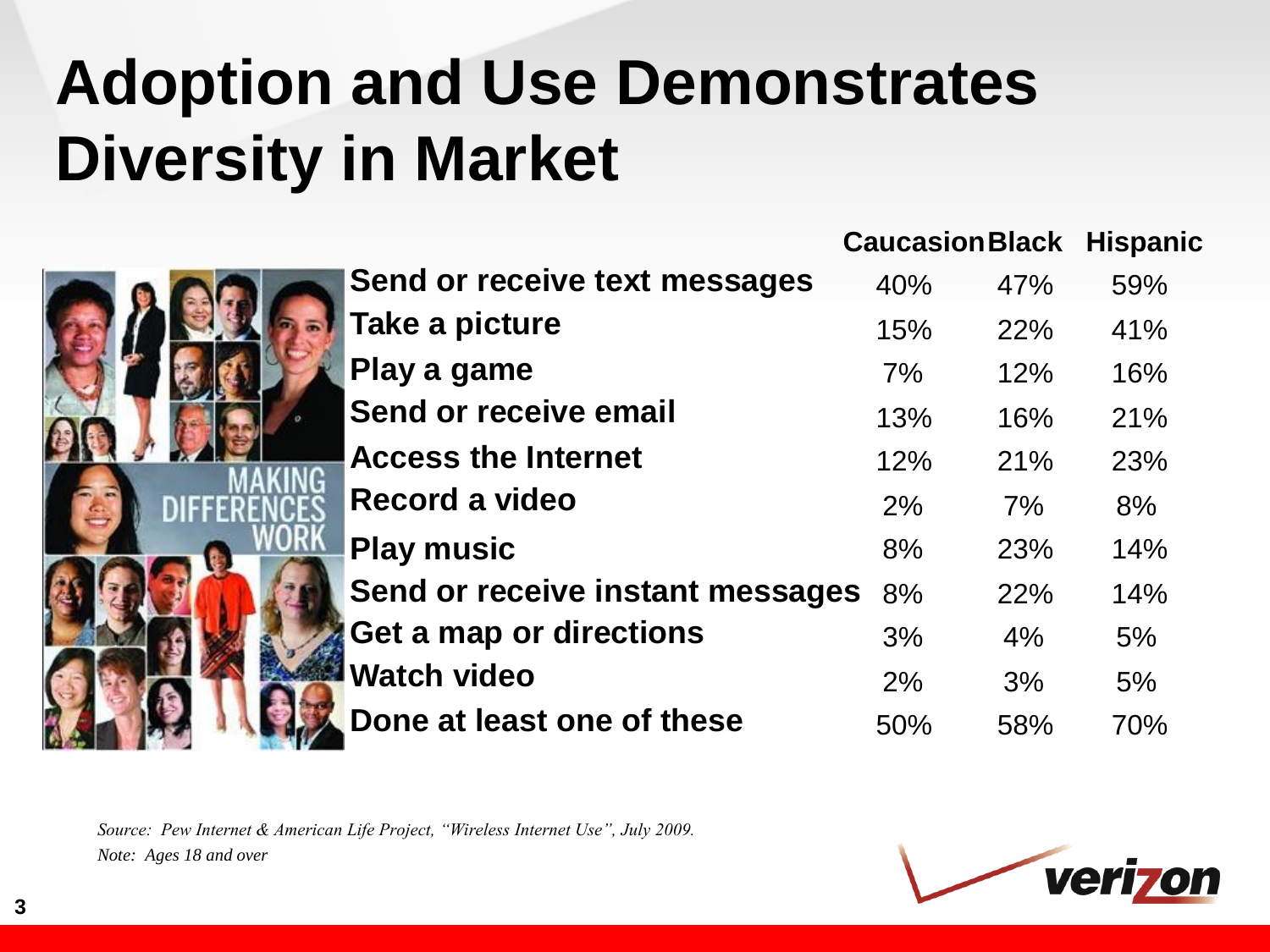## **Adoption and Use Demonstrates Diversity in Market**

|                                  | <b>Caucasion Black</b> |       | <b>Hispanic</b> |  |
|----------------------------------|------------------------|-------|-----------------|--|
| Send or receive text messages    | 40%                    | 47%   | 59%             |  |
| Take a picture                   | 15%                    | 22%   | 41%             |  |
| Play a game                      | $7\%$                  | 12%   | 16%             |  |
| Send or receive email            | 13%                    | 16%   | 21%             |  |
| <b>Access the Internet</b>       | 12%                    | 21%   | 23%             |  |
| Record a video                   | 2%                     | 7%    | 8%              |  |
| <b>Play music</b>                | 8%                     | 23%   | 14%             |  |
| Send or receive instant messages | 8%                     | 22%   | 14%             |  |
| Get a map or directions          | 3%                     | $4\%$ | 5%              |  |
| <b>Watch video</b>               | 2%                     | 3%    | 5%              |  |
| Done at least one of these       | 50%                    | 58%   | 70%             |  |

*Source: Pew Internet & American Life Project, "Wireless Internet Use", July 2009. Note: Ages 18 and over*



DIFF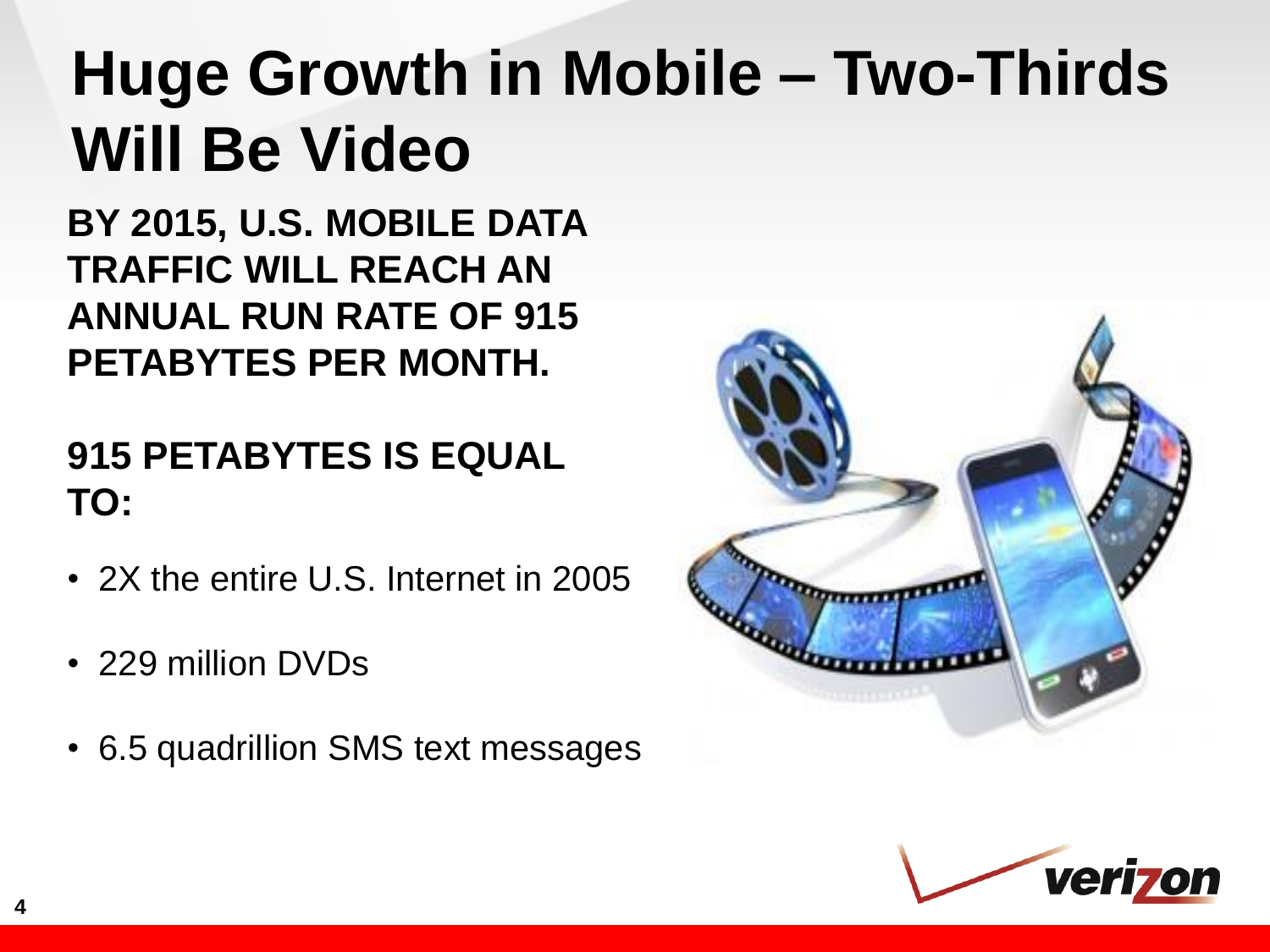## **Huge Growth in Mobile – Two-Thirds Will Be Video**

**BY 2015, U.S. MOBILE DATA TRAFFIC WILL REACH AN ANNUAL RUN RATE OF 915 PETABYTES PER MONTH.**

#### **915 PETABYTES IS EQUAL TO:**

- 2X the entire U.S. Internet in 2005
- 229 million DVDs
- 6.5 quadrillion SMS text messages



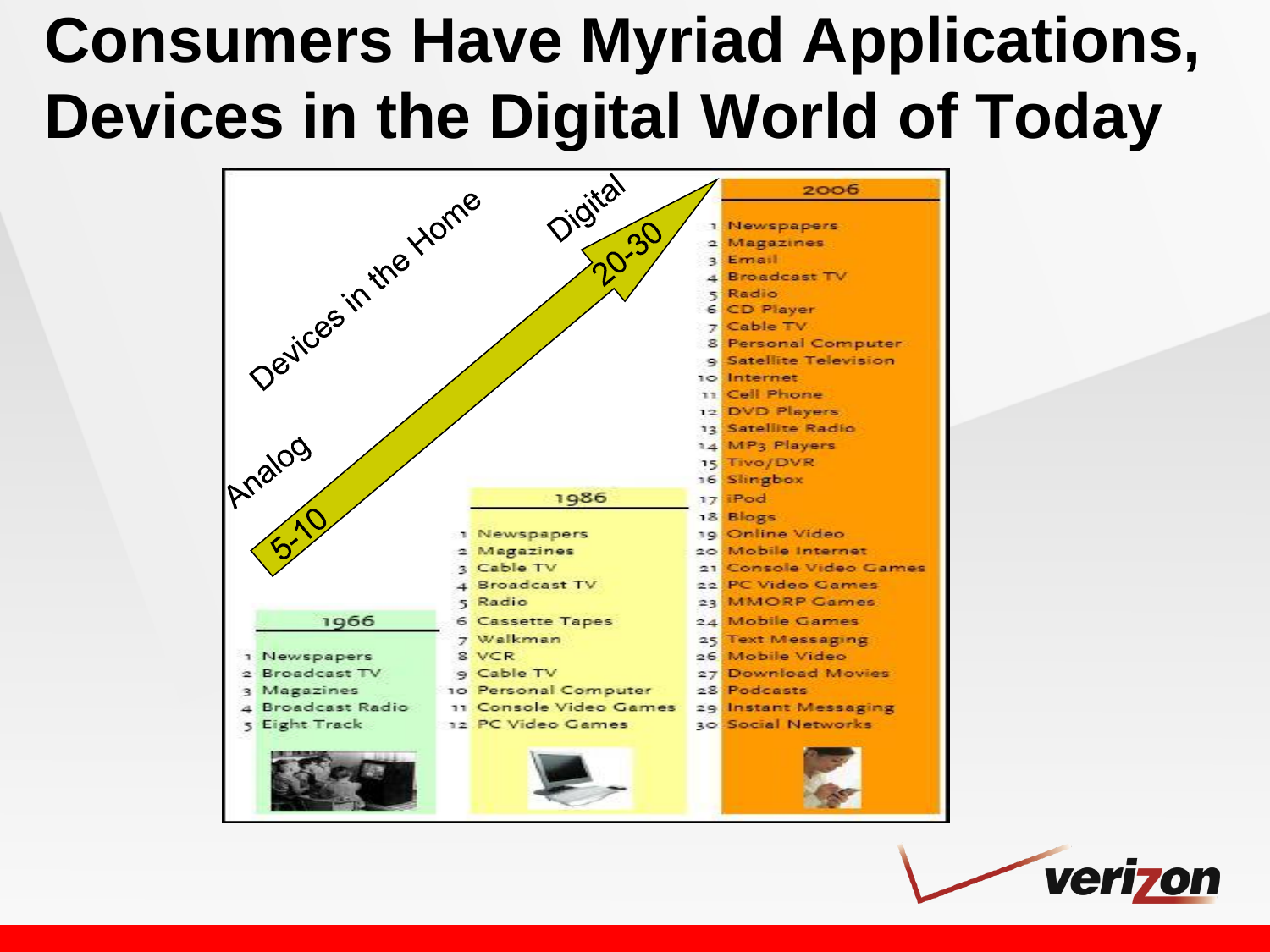## **Consumers Have Myriad Applications, Devices in the Digital World of Today**



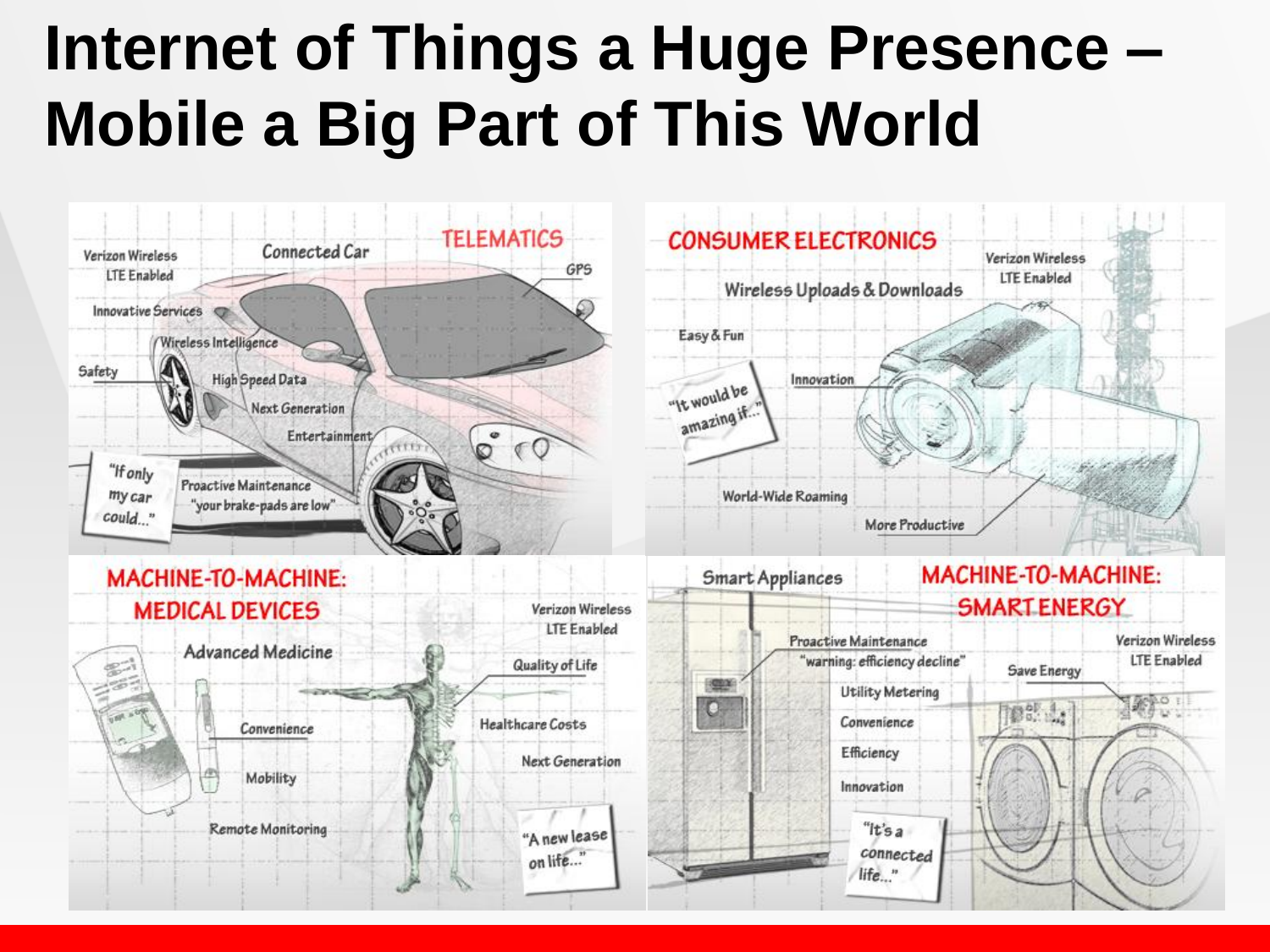## **Internet of Things a Huge Presence – Mobile a Big Part of This World**

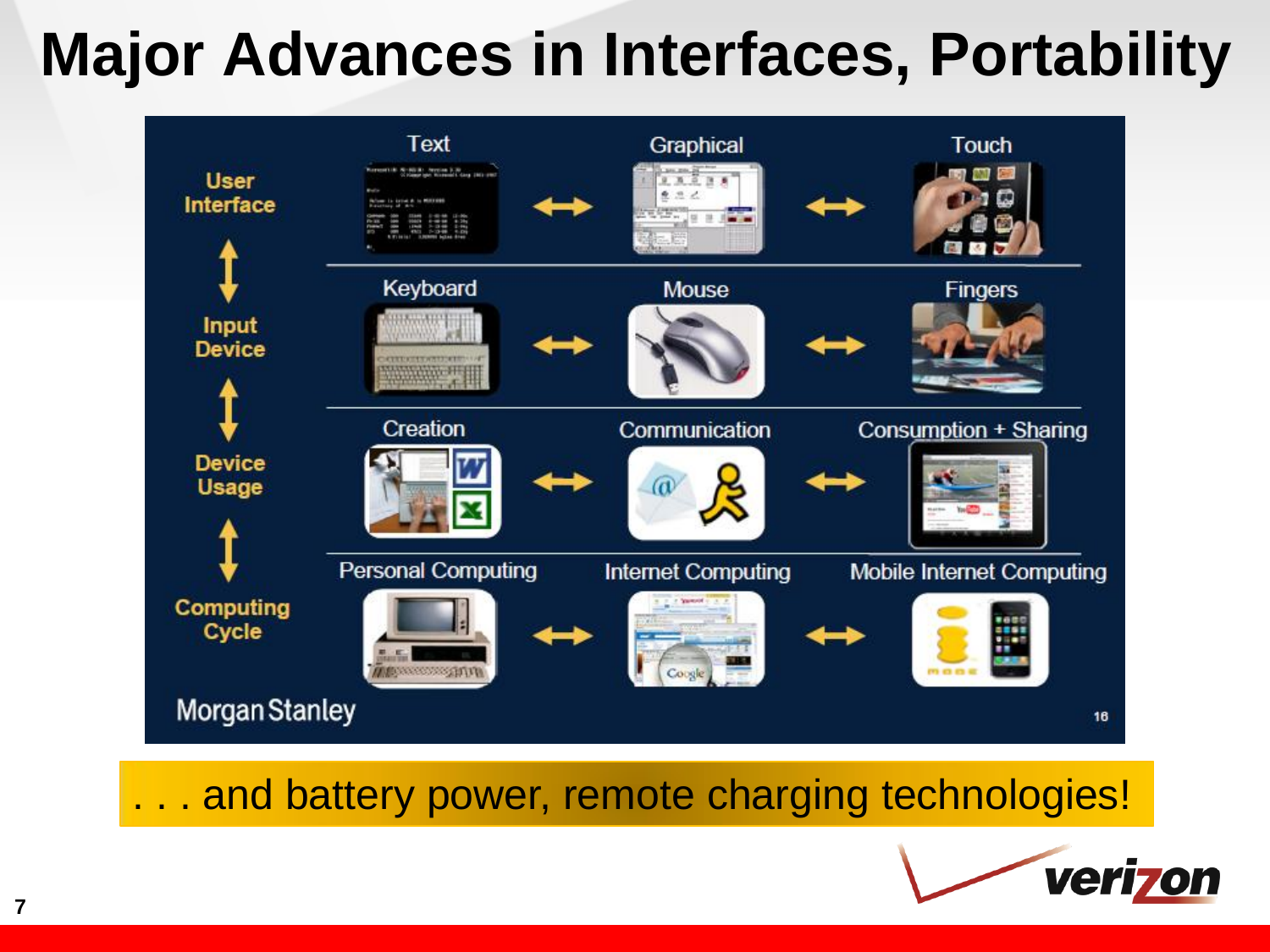## **Major Advances in Interfaces, Portability**



... and battery power, remote charging technologies!

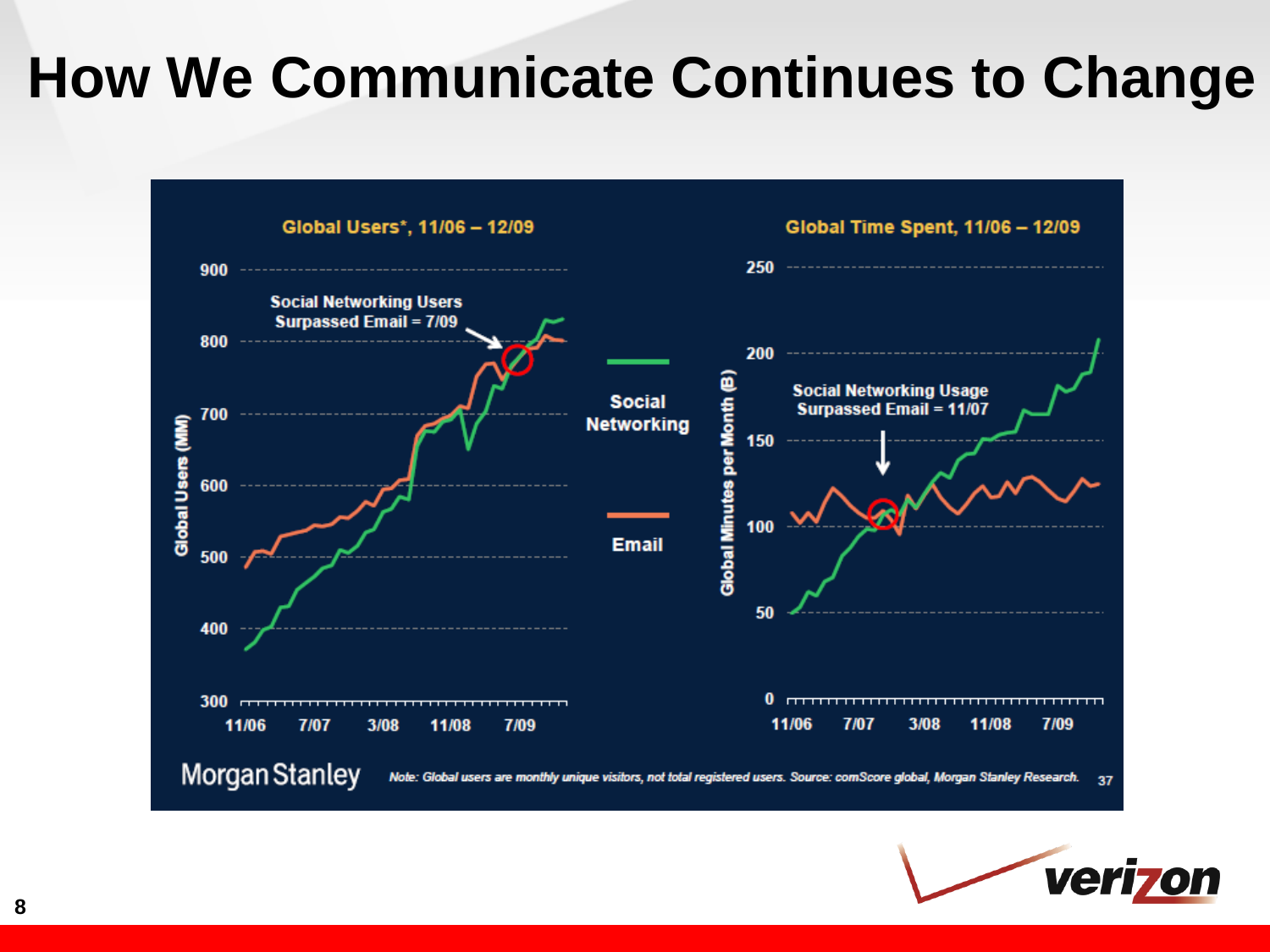### **How We Communicate Continues to Change**



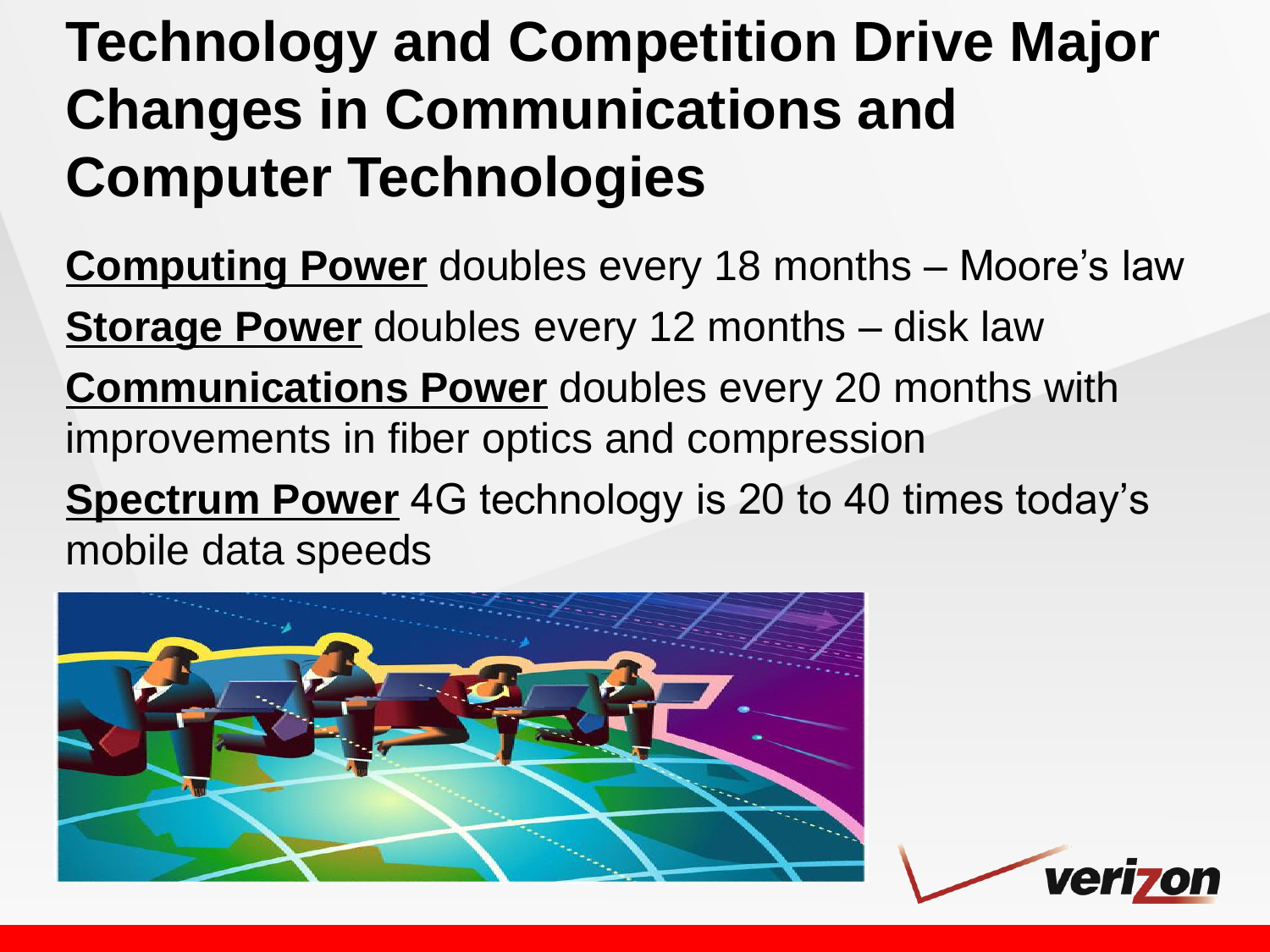### **Technology and Competition Drive Major Changes in Communications and Computer Technologies**

**Computing Power** doubles every 18 months – Moore's law **Storage Power** doubles every 12 months – disk law **Communications Power** doubles every 20 months with improvements in fiber optics and compression

**Spectrum Power** 4G technology is 20 to 40 times today's mobile data speeds



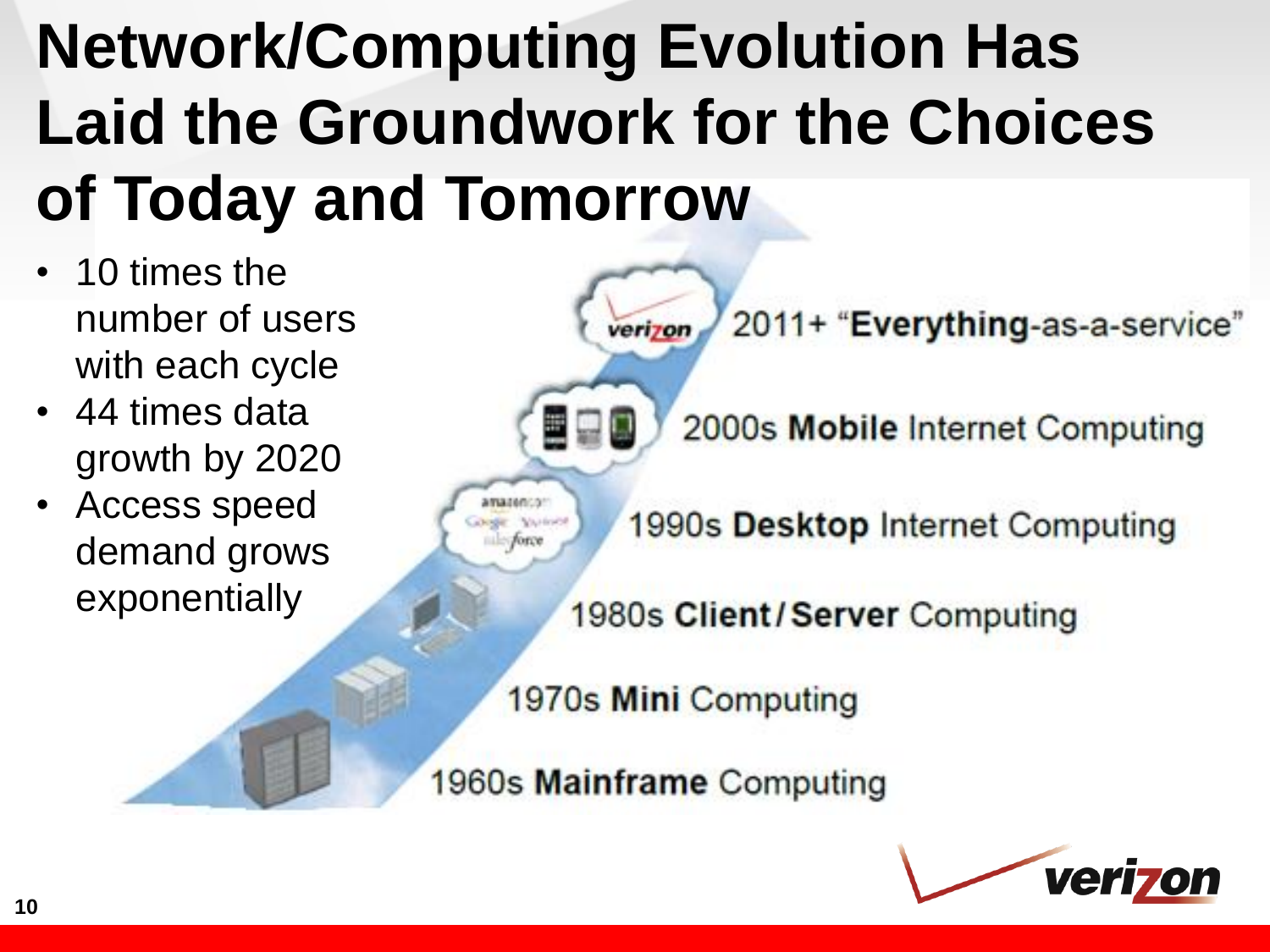## **Network/Computing Evolution Has Laid the Groundwork for the Choices of Today and Tomorrow**

**Various** ille force

- 10 times the number of users with each cycle
- 44 times data growth by 2020
- Access speed demand grows exponentially

2011+ "Everything-as-a-service" verizon

2000s Mobile Internet Computing

1990s Desktop Internet Computing

1980s Client/Server Computing

1970s Mini Computing

1960s Mainframe Computing

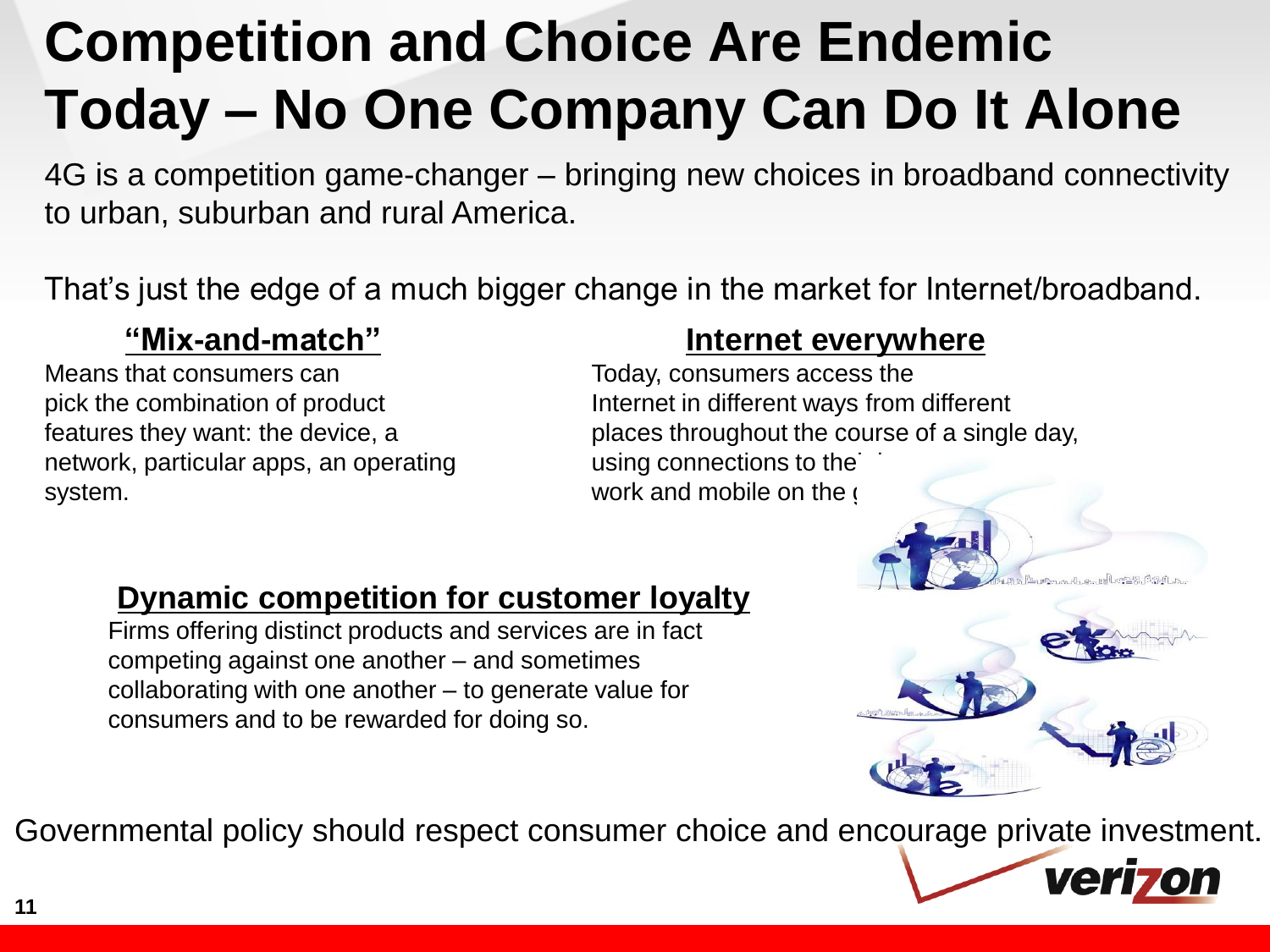### **Competition and Choice Are Endemic Today – No One Company Can Do It Alone**

4G is a competition game-changer – bringing new choices in broadband connectivity to urban, suburban and rural America.

That's just the edge of a much bigger change in the market for Internet/broadband.

#### **"Mix-and-match"**

Means that consumers can pick the combination of product features they want: the device, a network, particular apps, an operating system.

#### **Internet everywhere**

Today, consumers access the Internet in different ways from different places throughout the course of a single day, using connections to the work and mobile on the  $\epsilon$ 

#### **Dynamic competition for customer loyalty**

Firms offering distinct products and services are in fact competing against one another – and sometimes collaborating with one another – to generate value for consumers and to be rewarded for doing so.



Governmental policy should respect consumer choice and encourage private investment.

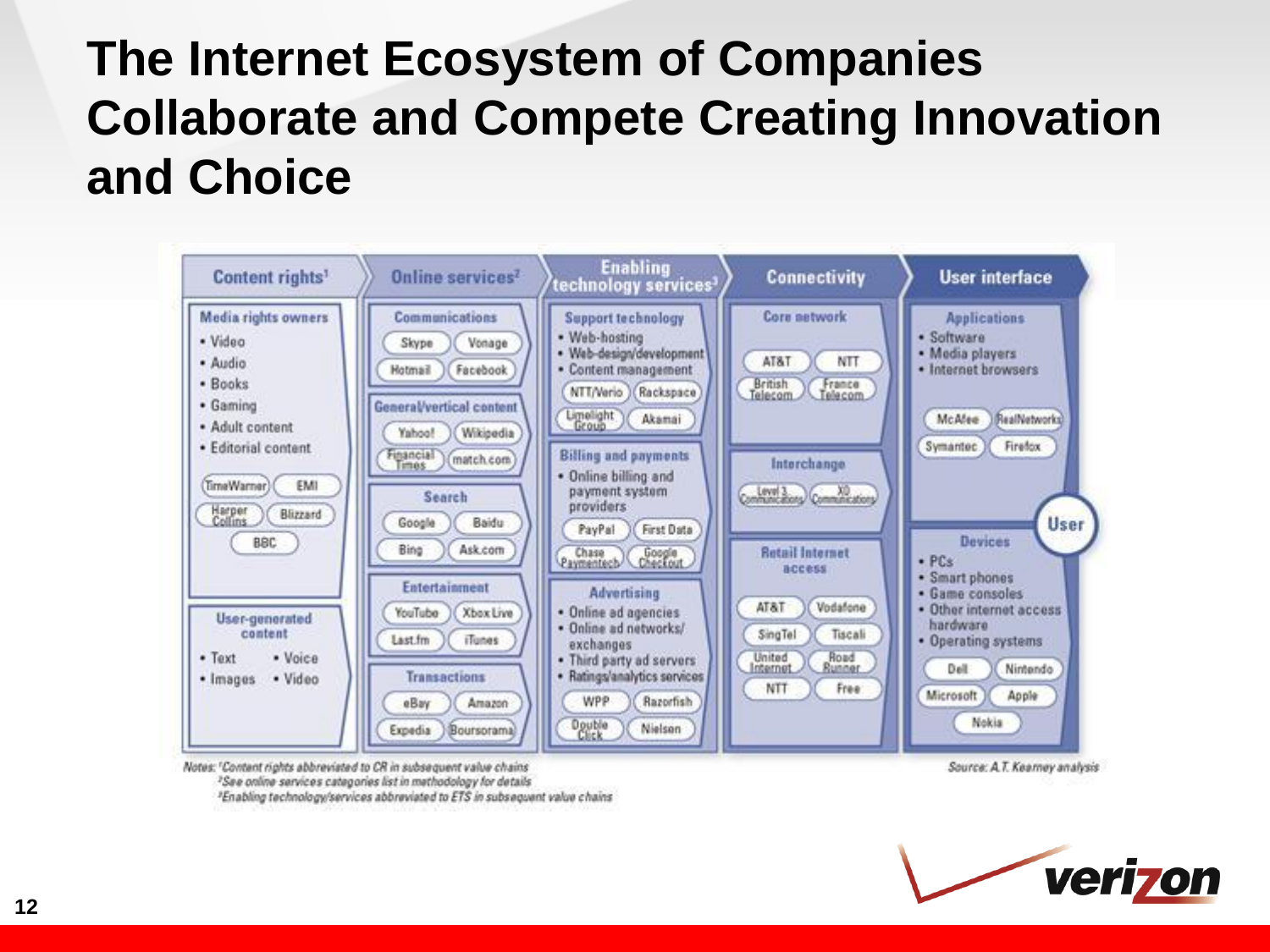### **The Internet Ecosystem of Companies Collaborate and Compete Creating Innovation and Choice**



Notes: "Content rights abbreviated to CR in subsequent value chains <sup>2</sup>See online services categories list in methodology for details

<sup>3</sup>Enabling technology/services abbreviated to ETS in subsequent value chains

Source: A.T. Kearney analysis

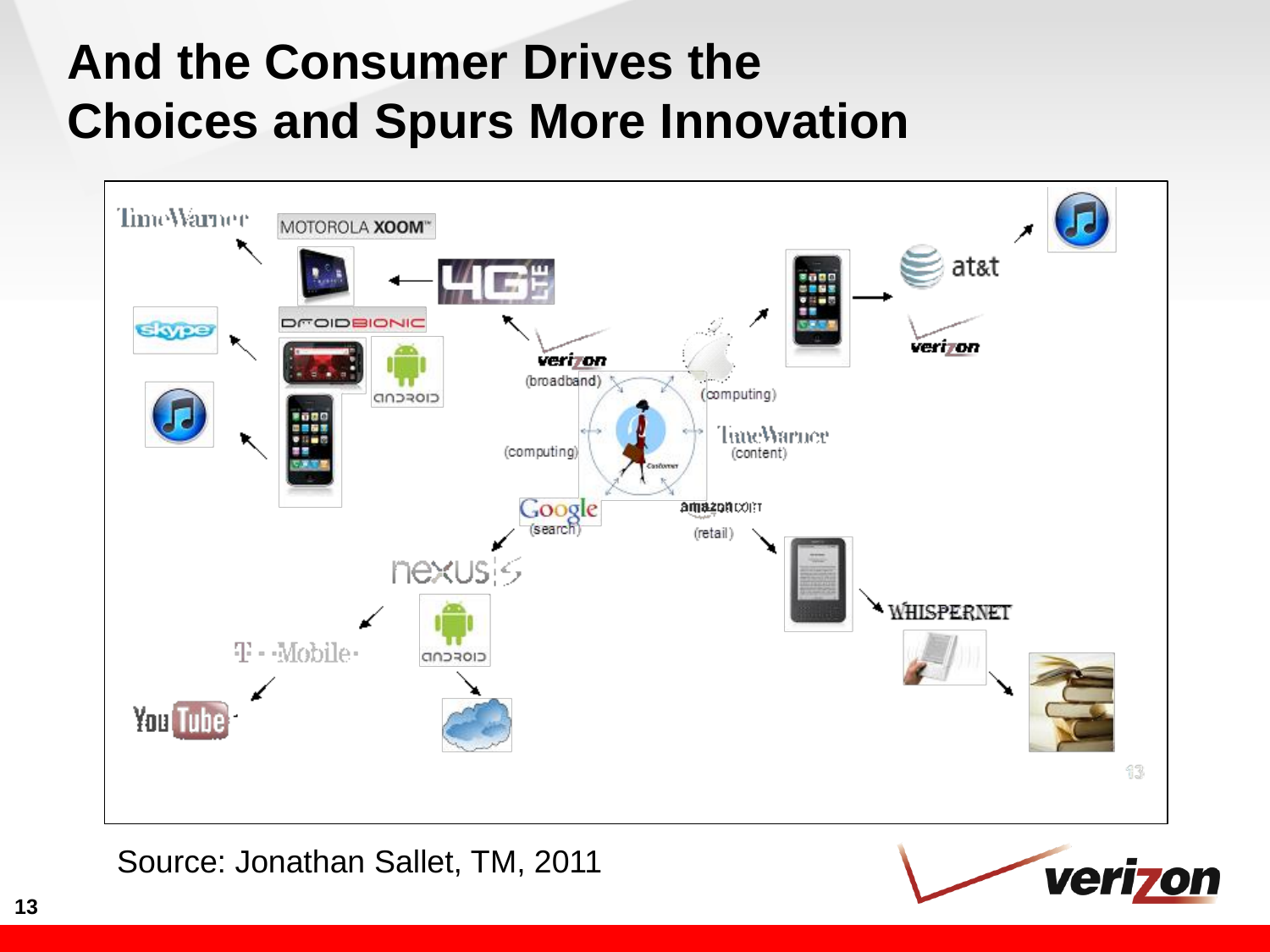### **And the Consumer Drives the Choices and Spurs More Innovation**



Source: Jonathan Sallet, TM, 2011